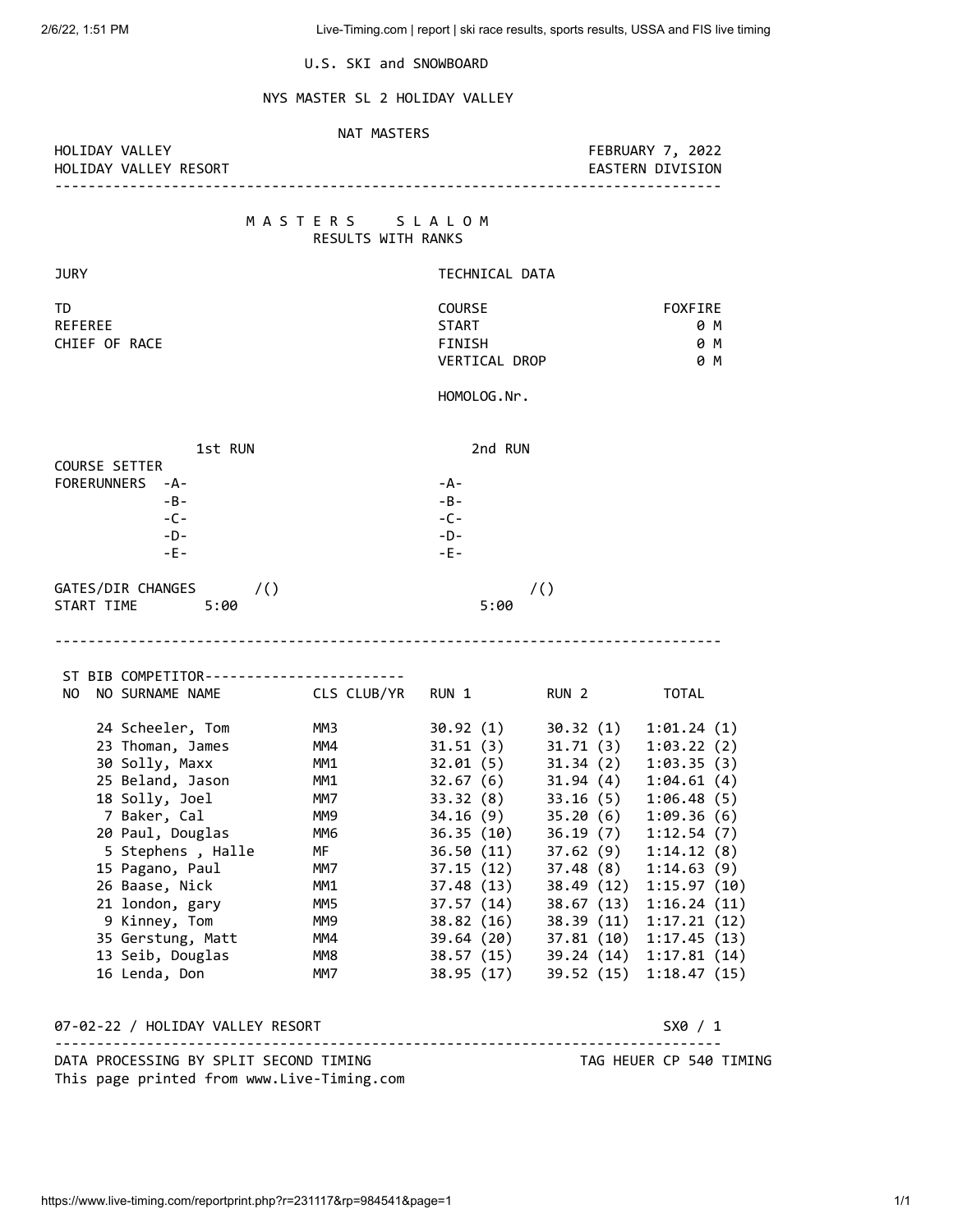U.S. SKI and SNOWBOARD

# NYS MASTER SL 2 HOLIDAY VALLEY

### NAT MASTERS

HOLIDAY VALLEY RESORT

HOLIDAY VALLEY FEBRUARY 7, 2022

--------------------------------------------------------------------------------

## M A S T E R S S L A L O M RESULTS WITH RANKS

| TD<br>REFEREE                      |             | COURSE<br>START                       |                                      |                            |
|------------------------------------|-------------|---------------------------------------|--------------------------------------|----------------------------|
| CHIEF OF RACE                      |             | FINISH                                |                                      |                            |
|                                    |             | VERTICAL DROP                         |                                      |                            |
|                                    | HOMOLOG.Nr. |                                       |                                      |                            |
|                                    |             |                                       |                                      |                            |
| 1st RUN<br><b>COURSE SETTER</b>    |             | 2nd RUN                               |                                      |                            |
| FORERUNNERS -A-                    |             | -A-                                   |                                      |                            |
| $-B -$                             |             | $-B -$                                |                                      |                            |
| $-C -$                             |             | $-C -$                                |                                      |                            |
| $-D-$                              |             | $-D-$                                 |                                      |                            |
| $-E -$                             |             | $-E -$                                |                                      |                            |
| GATES/DIR CHANGES /()              |             |                                       | $\prime$ ()                          |                            |
| START TIME<br>5:00                 |             | 5:00                                  |                                      |                            |
| NO SURNAME NAME CLS CLUB/YR<br>NO. |             | RUN 1                                 | RUN 2                                | TOTAL                      |
| 24 Scheeler, Tom                   | ММЗ         | 30.92 (1)                             | 30.32 (1)                            | 1:01.24(1)                 |
| 23 Thoman, James                   | MM4         |                                       | 31.51(3) 31.71(3)                    | 1:03.22(2)                 |
| 30 Solly, Maxx                     | MM1         | 32.01(5)<br>32.67 (6)                 | 31.34(2)                             | 1:03.35(3)                 |
|                                    |             |                                       | 31.94 (4)                            | 1:04.61(4)                 |
| 25 Beland, Jason                   | MM1         |                                       |                                      |                            |
| 18 Solly, Joel                     | MM7         | 33.32 (8)                             | 33.16(5)                             | 1:06.48(5)                 |
| 7 Baker, Cal                       | MM9         |                                       | 35.20(6)                             | 1:09.36(6)                 |
| 20 Paul, Douglas                   | MM6         |                                       | 36.19 (7)                            | 1:12.54(7)                 |
| 5 Stephens, Halle                  | MF<br>MM7   | 34.16 (9)<br>36.35 (10)<br>36.50 (11) | 37.62(9)                             | 1:14.12(8)                 |
| 15 Pagano, Paul<br>26 Baase, Nick  | MM1         |                                       | $37.15(12)$ $37.48(8)$<br>38.49 (12) | 1:14.63(9)                 |
| 21 london, gary                    | MM5         | 37.48 (13)<br>37.57 (14)              | 38.67 (13)                           | 1:15.97(10)<br>1:16.24(11) |
| 9 Kinney, Tom                      | MM9         | 38.82 (16)                            | 38.39(11)                            | 1:17.21(12)                |
| 35 Gerstung, Matt                  | MM4         | 39.64 (20)                            | 37.81(10)                            | 1:17.45(13)                |
| 13 Seib, Douglas                   | MM8         | 38.57 (15)                            |                                      | 39.24 (14) 1:17.81 (14)    |
| 16 Lenda, Don                      | MM7         | 38.95 (17)                            |                                      | 39.52 (15) 1:18.47 (15)    |
| 07-02-22 / HOLIDAY VALLEY RESORT   |             |                                       |                                      | S X0 / 1                   |